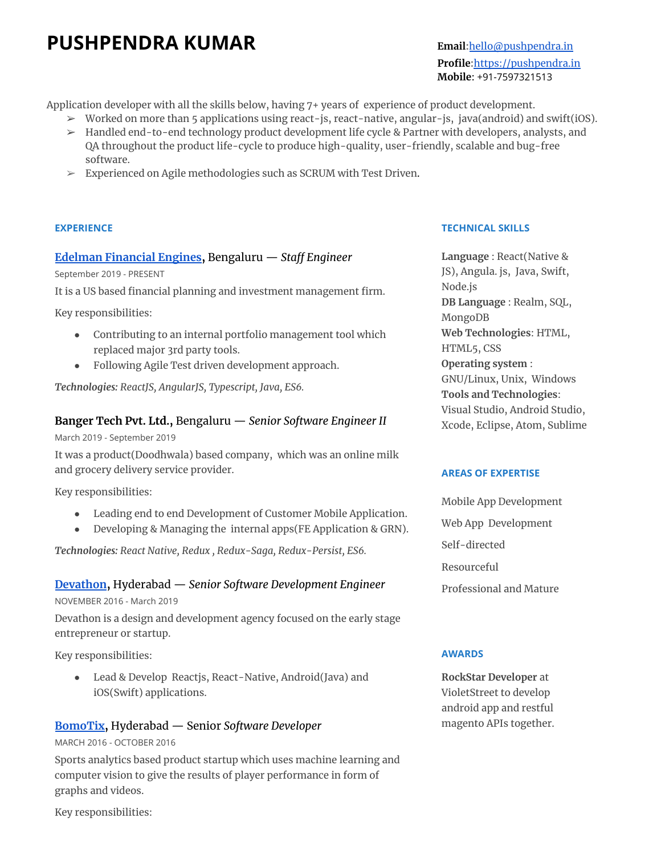# **PUSHPENDRA KUMAR Email:**[hello@pushpendra.in](mailto:hello@pushpendra.in)

# **Profile:**<https://pushpendra.in> **Mobile**: +91-7597321513

Application developer with all the skills below, having 7+ years of experience of product development.

- ➢ Worked on more than 5 applications using react-js, react-native, angular-js, java(android) and swift(iOS).
- ➢ Handled end-to-end technology product development life cycle & Partner with developers, analysts, and QA throughout the product life-cycle to produce high-quality, user-friendly, scalable and bug-free software.
- $\geq$  Experienced on Agile methodologies such as SCRUM with Test Driven.

### **EXPERIENCE**

## **Edelman [Financial](https://www.edelmanfinancialengines.com/) Engines,** Bengaluru — *Staff Engineer*

September 2019 - PRESENT

It is a US based financial planning and investment management firm.

Key responsibilities:

- Contributing to an internal portfolio management tool which replaced major 3rd party tools.
- Following Agile Test driven development approach.

*Technologies: ReactJS, AngularJS, Typescript, Java, ES6.*

# **Banger Tech Pvt. Ltd.,** Bengaluru — *Senior Software Engineer II*

March 2019 - September 2019

It was a product(Doodhwala) based company, which was an online milk and grocery delivery service provider.

Key responsibilities:

- Leading end to end Development of Customer Mobile Application.
- Developing & Managing the internal apps(FE Application & GRN).

*Technologies: React Native, Redux , Redux-Saga, Redux-Persist, ES6.*

## **[Devathon](https://devathon.com),** Hyderabad — *Senior Software Development Engineer*

NOVEMBER 2016 - March 2019

Devathon is a design and development agency focused on the early stage entrepreneur or startup.

Key responsibilities:

● Lead & Develop Reactjs, React-Native, Android(Java) and iOS(Swift) applications.

# **[BomoTix](http://bomotix.com/),** Hyderabad — Senior *Software Developer*

#### MARCH 2016 - OCTOBER 2016

Sports analytics based product startup which uses machine learning and computer vision to give the results of player performance in form of graphs and videos.

Key responsibilities:

### **TECHNICAL SKILLS**

**Language** : React(Native & JS), Angula. js, Java, Swift, Node.js **DB Language** : Realm, SQL, MongoDB **Web Technologies**: HTML, HTML5, CSS **Operating system** : GNU/Linux, Unix, Windows **Tools and Technologies**: Visual Studio, Android Studio, Xcode, Eclipse, Atom, Sublime

#### **AREAS OF EXPERTISE**

- Mobile App Development
- Web App Development
- Self-directed

Resourceful

Professional and Mature

#### **AWARDS**

**RockStar Developer** at VioletStreet to develop android app and restful magento APIs together.